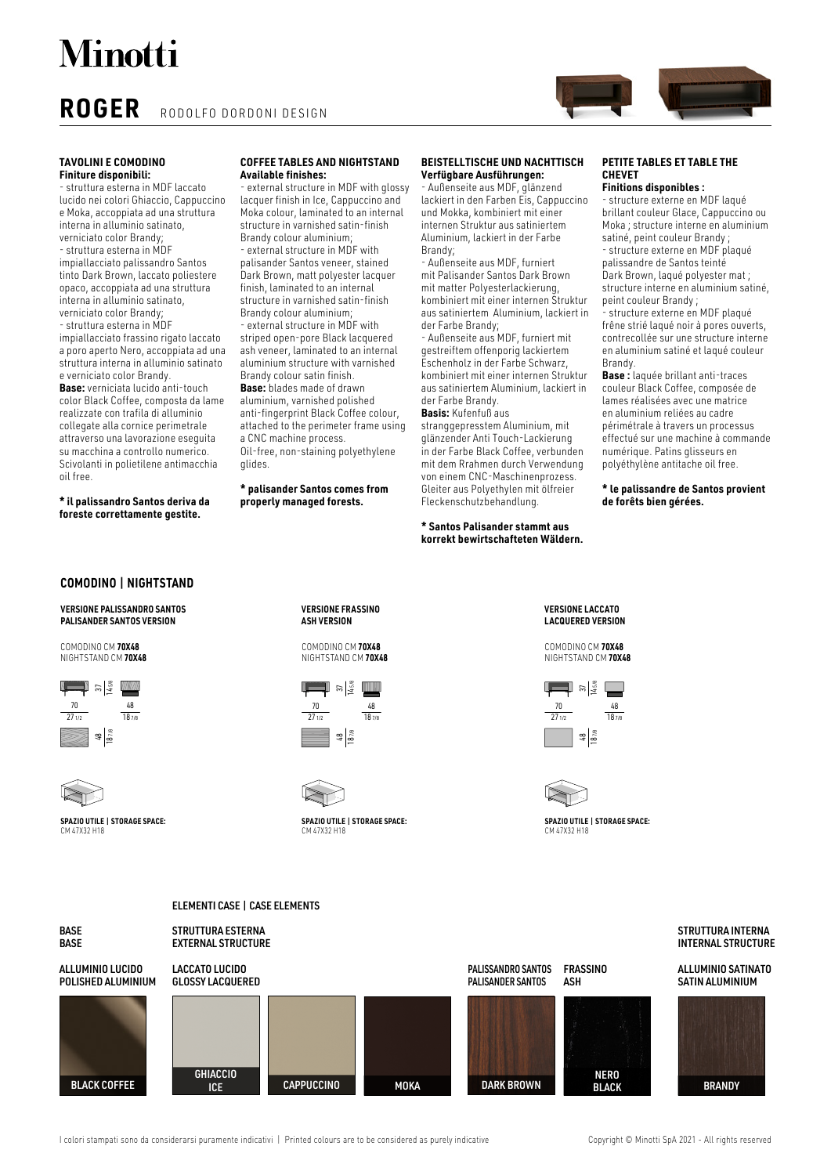**Minotti** 

## **ROGER** RODOLFO DORDONI DESIGN

## **TAVOLINI E COMODINO Finiture disponibili:**

- struttura esterna in MDF laccato lucido nei colori Ghiaccio, Cappuccino e Moka, accoppiata ad una struttura interna in alluminio satinato, verniciato color Brandy; - struttura esterna in MDF impiallacciato palissandro Santos tinto Dark Brown, laccato poliestere opaco, accoppiata ad una struttura interna in alluminio satinato, verniciato color Brandy; - struttura esterna in MDF impiallacciato frassino rigato laccato a poro aperto Nero, accoppiata ad una struttura interna in alluminio satinato e verniciato color Brandy. **Base:** verniciata lucido anti-touch color Black Coffee, composta da lame realizzate con trafila di alluminio collegate alla cornice perimetrale attraverso una lavorazione eseguita su macchina a controllo numerico. Scivolanti in polietilene antimacchia oil free.

**\* il palissandro Santos deriva da foreste correttamente gestite.**

## **COFFEE TABLES AND NIGHTSTAND Available finishes:**

external structure in MDF with glossy lacquer finish in Ice, Cappuccino and Moka colour, laminated to an internal structure in varnished satin-finish Brandy colour aluminium; - external structure in MDF with

palisander Santos veneer, stained Dark Brown, matt polyester lacquer finish, laminated to an internal structure in varnished satin-finish Brandy colour aluminium; - external structure in MDF with striped open-pore Black lacquered ash veneer, laminated to an internal aluminium structure with varnished Brandy colour satin finish. **Base:** blades made of drawn aluminium, varnished polished anti-fingerprint Black Coffee colour, attached to the perimeter frame using a CNC machine process. Oil-free, non-staining polyethylene glides.

**\* palisander Santos comes from properly managed forests.**

## **BEISTELLTISCHE UND NACHTTISCH Verfügbare Ausführungen:**

- Außenseite aus MDF, glänzend lackiert in den Farben Eis, Cappuccino und Mokka, kombiniert mit einer internen Struktur aus satiniertem Aluminium, lackiert in der Farbe Brandy;

- Außenseite aus MDF, furniert mit Palisander Santos Dark Brown mit matter Polyesterlackierung, kombiniert mit einer internen Struktur aus satiniertem Aluminium, lackiert in der Farbe Brandy;

- Außenseite aus MDF, furniert mit gestreiftem offenporig lackiertem Eschenholz in der Farbe Schwarz, kombiniert mit einer internen Struktur aus satiniertem Aluminium, lackiert in der Farbe Brandy.

### **Basis:** Kufenfuß aus

stranggepresstem Aluminium, mit glänzender Anti Touch-Lackierung in der Farbe Black Coffee, verbunden mit dem Rrahmen durch Verwendung von einem CNC-Maschinenprozess. Gleiter aus Polyethylen mit ölfreier Fleckenschutzbehandlung.

## **\* Santos Palisander stammt aus korrekt bewirtschafteten Wäldern.**

## **PETITE TABLES ET TABLE THE CHEVET**

## **Finitions disponibles :**

- structure externe en MDF laqué brillant couleur Glace, Cappuccino ou Moka ; structure interne en aluminium satiné, peint couleur Brandy ; - structure externe en MDF plaqué

palissandre de Santos teinté Dark Brown, laqué polyester mat ; structure interne en aluminium satiné, peint couleur Brandy ;

- structure externe en MDF plaqué frêne strié laqué noir à pores ouverts, contrecollée sur une structure interne en aluminium satiné et laqué couleur Brandy.

**Base :** laquée brillant anti-traces couleur Black Coffee, composée de lames réalisées avec une matrice en aluminium reliées au cadre périmétrale à travers un processus effectué sur une machine à commande numérique. Patins glisseurs en polyéthylène antitache oil free.

### **\* le palissandre de Santos provient de forêts bien gérées.**

## **COMODINO | NIGHTSTAND**

**VERSIONE PALISSANDRO SANTOS PALISANDER SANTOS VERSION**

COMODINO CM **70X48** NIGHTSTAND CM **70X48**



CM 47X32 H18

**SPAZIO UTILE | STORAGE SPACE:**

**VERSIONE FRASSINO ASH VERSION**

COMODINO CM **70X48** NIGHTSTAND CM **70X48**





**SPAZIO UTILE | STORAGE SPACE:** CM 47X32 H18

**VERSIONE LACCATO LACQUERED VERSION**

COMODINO CM **70X48** NIGHTSTAND CM **70X48**





**SPAZIO UTILE | STORAGE SPACE:** CM 47X32 H18



I colori stampati sono da considerarsi puramente indicativi | Printed colours are to be considered as purely indicative Copyright © Minotti SpA 2021 - All rights reserved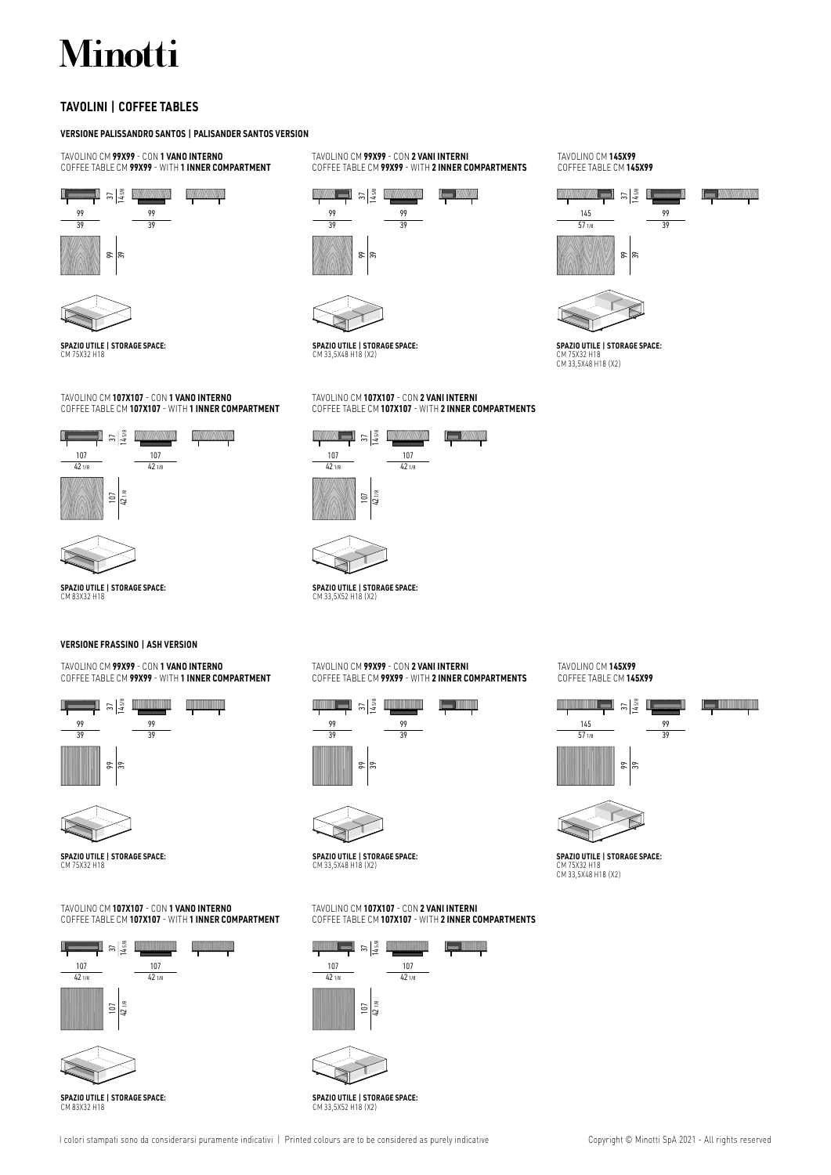# Minotti

## **TAVOLINI | COFFEE TABLES**

## **VERSIONE PALISSANDRO SANTOS | PALISANDER SANTOS VERSION**

TAVOLINO CM **99X99** - CON **1 VANO INTERNO** COFFEE TABLE CM **99X99** - WITH **1 INNER COMPARTMENT**

#### **TANANTIN** M  $\frac{37}{14.58}$ 99

39





**SPAZIO UTILE | STORAGE SPACE:** CM 75X32 H18

## TAVOLINO CM **107X107** - CON **1 VANO INTERNO** COFFEE TABLE CM **107X107** - WITH **1 INNER COMPARTMENT**



**SPAZIO UTILE | STORAGE SPACE:** CM 83X32 H18

## **VERSIONE FRASSINO | ASH VERSION**

## TAVOLINO CM **99X99** - CON **1 VANO INTERNO** COFFEE TABLE CM **99X99** - WITH **1 INNER COMPARTMENT**





**SPAZIO UTILE | STORAGE SPACE:** CM 75X32 H18

## TAVOLINO CM **107X107** - CON **1 VANO INTERNO** COFFEE TABLE CM **107X107** - WITH **1 INNER COMPARTMENT**



**SPAZIO UTILE | STORAGE SPACE:** CM 83X32 H18

TAVOLINO CM **99X99** - CON **2 VANI INTERNI** COFFEE TABLE CM **99X99** - WITH **2 INNER COMPARTMENTS**





**SPAZIO UTILE | STORAGE SPACE:** CM 33,5X48 H18 (X2)

## TAVOLINO CM **107X107** - CON **2 VANI INTERNI** COFFEE TABLE CM **107X107** - WITH **2 INNER COMPARTMENTS**





## **SPAZIO UTILE | STORAGE SPACE:**

## TAVOLINO CM **99X99** - CON **2 VANI INTERNI** COFFEE TABLE CM **99X99** - WITH **2 INNER COMPARTMENTS**





**SPAZIO UTILE | STORAGE SPACE:** CM 33,5X48 H18 (X2)

## TAVOLINO CM **107X107** - CON **2 VANI INTERNI** COFFEE TABLE CM **107X107** - WITH **2 INNER COMPARTMENTS**



**SPAZIO UTILE | STORAGE SPACE:** CM 33,5X52 H18 (X2)

TAVOLINO CM **145X99** COFFEE TABLE CM **145X99**





 $rac{37}{1458}$ COFFEE TABLE CM **145X99**

TAVOLINO CM **145X99**



9





**SPAZIO UTILE | STORAGE SPACE:** CM 75X32 H18 CM 33,5X48 H18 (X2)